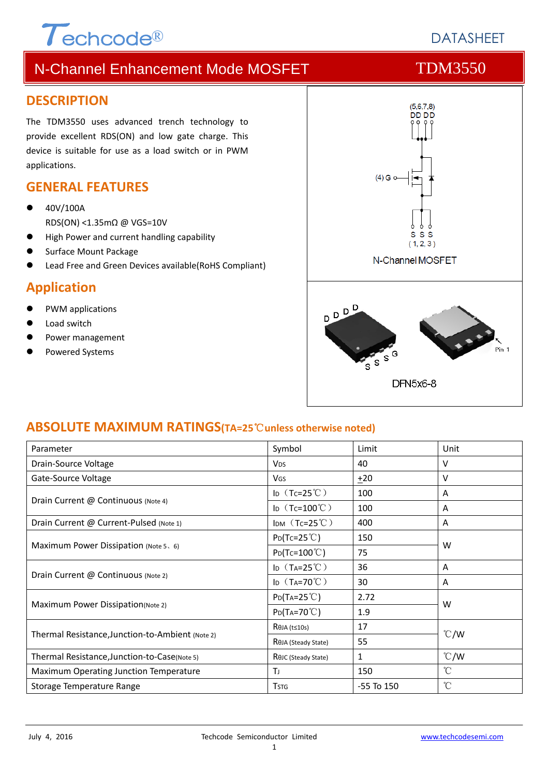# $\tau$ <sub>echcode®</sub>

# **DATASHEET**

# N-Channel Enhancement Mode MOSFET TOM3550

#### **DESCRIPTION**

The TDM3550 uses advanced trench technology to provide excellent RDS(ON) and low gate charge. This device is suitable for use as a load switch or in PWM applications.

#### **GENERAL FEATURES**

- 40V/100A RDS(ON) <1.35mΩ @ VGS=10V
- High Power and current handling capability
- Surface Mount Package
- Lead Free and Green Devices available(RoHS Compliant)

#### **Application**

- PWM applications
- Load switch
- Power management
- Powered Systems



#### **ABSOLUTE MAXIMUM RATINGS(TA=25**℃**unless otherwise noted)**

| Parameter                                        | Symbol                          | Limit          | Unit          |  |
|--------------------------------------------------|---------------------------------|----------------|---------------|--|
| Drain-Source Voltage                             | <b>V<sub>DS</sub></b>           | 40             | v             |  |
| Gate-Source Voltage                              | <b>V<sub>GS</sub></b>           | ±20            | v             |  |
| Drain Current @ Continuous (Note 4)              | ID $(Tc=25^{\circ}C)$           | 100            | A             |  |
|                                                  | ID $(Tc=100^{\circ}C)$          | 100            | A             |  |
| Drain Current @ Current-Pulsed (Note 1)          | IDM $(Tc=25^{\circ}C)$          | 400            | A             |  |
|                                                  | $P_{D}(Tc=25^{\circ}C)$         | 150            |               |  |
| Maximum Power Dissipation (Note 5, 6)            | $P_{D}(Tc=100^{\circ}C)$        | 75             | W             |  |
| Drain Current @ Continuous (Note 2)              | ID $(T_A=25^{\circ}C)$          | 36             | A             |  |
|                                                  | ID $(T_A=70^{\circ}C)$          | 30             | A             |  |
|                                                  | $P_{D}(Ta=25^{\circ}C)$         | 2.72           |               |  |
| <b>Maximum Power Dissipation</b> (Note 2)        | $P_{D}(T_{A}=70^{\circ}C)$      | 1.9            | W             |  |
|                                                  | $R$ $\theta$ JA (t≤10s)         | 17             |               |  |
| Thermal Resistance, Junction-to-Ambient (Note 2) | R <sub>OJA</sub> (Steady State) | 55             | $\degree$ C/W |  |
| Thermal Resistance, Junction-to-Case(Note 5)     | ROJC (Steady State)             | 1              | $\degree$ C/W |  |
| Maximum Operating Junction Temperature           | Tı.                             | 150            | $^{\circ}$ C  |  |
| Storage Temperature Range                        | <b>T</b> <sub>STG</sub>         | $-55$ To $150$ | °C            |  |
|                                                  |                                 |                |               |  |

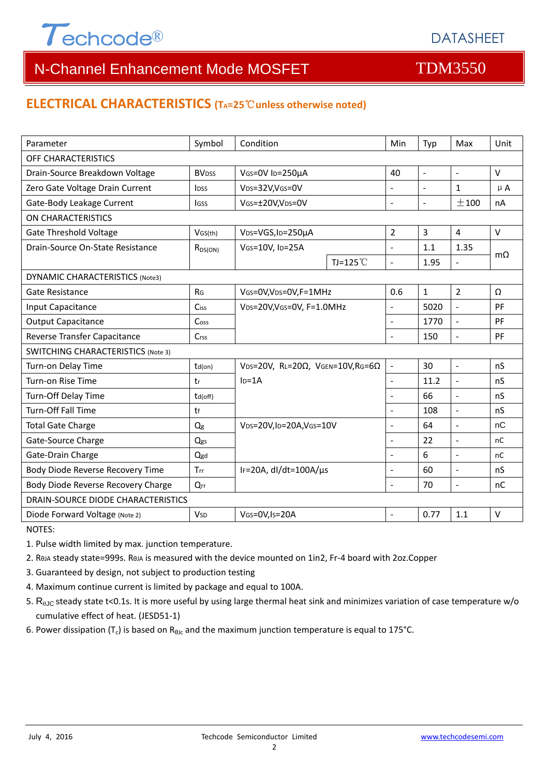

# N-Channel Enhancement Mode MOSFET TOM3550

#### **ELECTRICAL CHARACTERISTICS (TA=25**℃**unless otherwise noted)**

| Parameter                                 | Symbol                  | Condition                                                     |             | Min                      | Typ            | Max                      | Unit      |  |
|-------------------------------------------|-------------------------|---------------------------------------------------------------|-------------|--------------------------|----------------|--------------------------|-----------|--|
| OFF CHARACTERISTICS                       |                         |                                                               |             |                          |                |                          |           |  |
| Drain-Source Breakdown Voltage            | <b>BV<sub>DSS</sub></b> | VGS=0V ID=250µA                                               |             | 40                       | $\blacksquare$ | $\bar{\phantom{a}}$      | $\vee$    |  |
| Zero Gate Voltage Drain Current           | Inss                    | VDS=32V,VGS=0V                                                |             | $\mathbf{r}$             | $\Box$         | $\mathbf{1}$             | $\mu$ A   |  |
| Gate-Body Leakage Current                 | lgss                    | VGS=±20V,VDS=0V                                               |             | $\sim$                   | $\blacksquare$ | ±100                     | nA        |  |
| <b>ON CHARACTERISTICS</b>                 |                         |                                                               |             |                          |                |                          |           |  |
| <b>Gate Threshold Voltage</b>             | VGS(th)                 | VDS=VGS, ID=250µA                                             |             | $\overline{2}$           | $\overline{3}$ | $\overline{4}$           | $\vee$    |  |
| Drain-Source On-State Resistance          | $R_{DS(ON)}$            | VGS=10V, ID=25A                                               |             | $\overline{\phantom{a}}$ | 1.1            | 1.35                     |           |  |
|                                           |                         |                                                               | TJ=125 $°C$ | $\overline{a}$           | 1.95           |                          | $m\Omega$ |  |
| <b>DYNAMIC CHARACTERISTICS (Note3)</b>    |                         |                                                               |             |                          |                |                          |           |  |
| Gate Resistance                           | R <sub>G</sub>          | VGS=0V, VDS=0V, F=1MHz                                        |             | 0.6                      | $\mathbf{1}$   | $\overline{2}$           | Ω         |  |
| Input Capacitance                         | Ciss                    | VDS=20V, VGS=0V, F=1.0MHz                                     |             | $\blacksquare$           | 5020           | $\frac{1}{2}$            | PF        |  |
| <b>Output Capacitance</b>                 | Coss                    |                                                               |             | $\overline{a}$           | 1770           | $\blacksquare$           | PF        |  |
| Reverse Transfer Capacitance              | Crss                    |                                                               |             | L.                       | 150            | $\blacksquare$           | PF        |  |
| <b>SWITCHING CHARACTERISTICS (Note 3)</b> |                         |                                                               |             |                          |                |                          |           |  |
| Turn-on Delay Time                        | $td($ on)               | VDS=20V, RL=20 $\Omega$ , VGEN=10V, RG=6 $\Omega$<br>$ID=1A$  |             | $\Box$                   | 30             | $\overline{a}$           | nS        |  |
| Turn-on Rise Time                         | tr                      |                                                               |             | $\blacksquare$           | 11.2           | $\overline{\phantom{a}}$ | nS        |  |
| Turn-Off Delay Time                       | $td($ off $)$           |                                                               |             | $\sim$                   | 66             | $\overline{a}$           | nS        |  |
| Turn-Off Fall Time                        | tf                      |                                                               |             | $\sim$                   | 108            | $\blacksquare$           | nS        |  |
| <b>Total Gate Charge</b>                  | Q <sub>g</sub>          | V <sub>DS</sub> =20V,I <sub>D</sub> =20A,V <sub>GS</sub> =10V |             | L,                       | 64             | $\overline{\phantom{a}}$ | nC        |  |
| Gate-Source Charge                        | Qgs                     |                                                               |             | $\blacksquare$           | 22             | $\overline{a}$           | nC        |  |
| Gate-Drain Charge                         | Qgd                     |                                                               |             |                          | 6              | $\overline{a}$           | nC        |  |
| Body Diode Reverse Recovery Time          | Trr                     | IF=20A, dl/dt=100A/µs                                         |             | $\sim$                   | 60             | $\overline{a}$           | nS        |  |
| Body Diode Reverse Recovery Charge        | Qrr                     |                                                               |             | $\sim$                   | 70             | $\Box$                   | nC        |  |
| DRAIN-SOURCE DIODE CHARACTERISTICS        |                         |                                                               |             |                          |                |                          |           |  |
| Diode Forward Voltage (Note 2)            | <b>V<sub>SD</sub></b>   | VGS=0V, Is=20A                                                |             | L.                       | 0.77           | 1.1                      | $\vee$    |  |

NOTES:

1. Pulse width limited by max. junction temperature.

- 2. RθJA steady state=999s. RθJA is measured with the device mounted on 1in2, Fr‐4 board with 2oz.Copper
- 3. Guaranteed by design, not subject to production testing
- 4. Maximum continue current is limited by package and equal to 100A.
- 5.  $R_{AJC}$  steady state t<0.1s. It is more useful by using large thermal heat sink and minimizes variation of case temperature w/o cumulative effect of heat. (JESD51‐1)
- 6. Power dissipation (T<sub>c</sub>) is based on R<sub>θlc</sub> and the maximum junction temperature is equal to 175°C.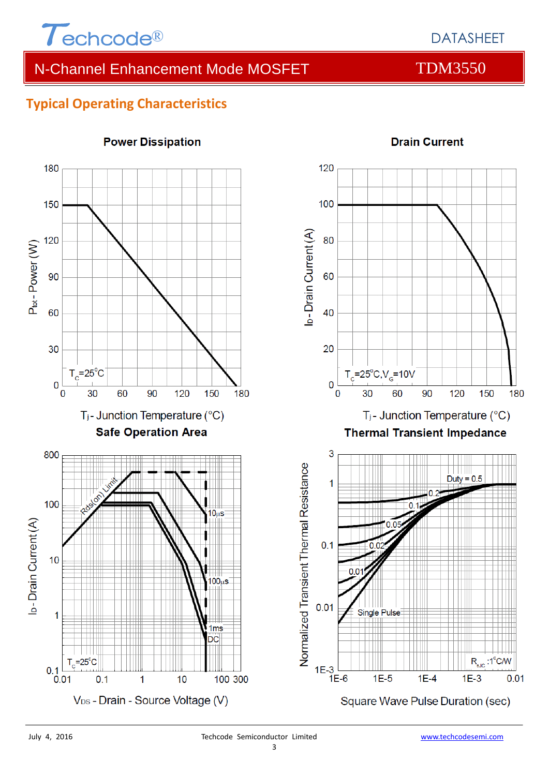

# N-Channel Enhancement Mode MOSFET TDM3550

**Drain Current** 

### **Typical Operating Characteristics**



#### **Power Dissipation**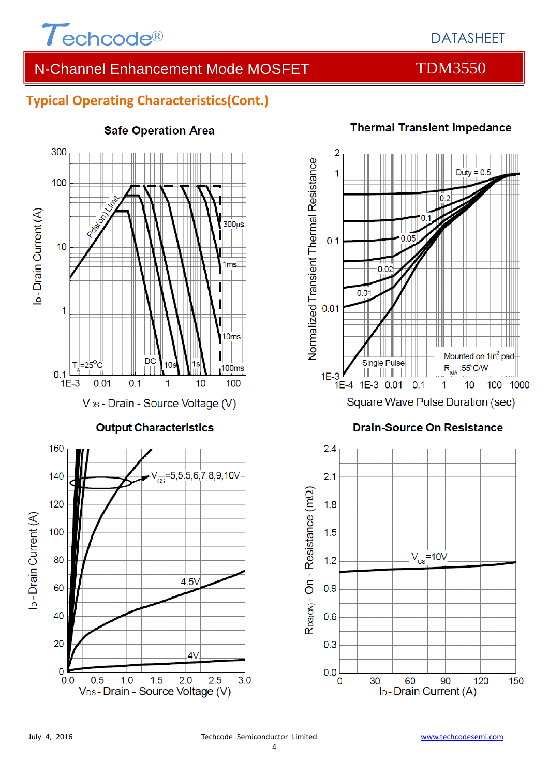

## DATASHEET

# N-Channel Enhancement Mode MOSFET TOM3550

# **Typical Operating Characteristics(Cont.)**



#### **Safe Operation Area**

# **Thermal Transient Impedance**



### Square Wave Pulse Duration (sec)

#### **Drain-Source On Resistance**



20

 $\mathbf 0$ 

 $0.0$ 

 $0.5$ 

 $1.0$ 

 $1.5$ 

V<sub>DS</sub>-Drain - Source Voltage (V)

 $3.0$ 

 $4V$ 

 $2.5$ 

 $2.0$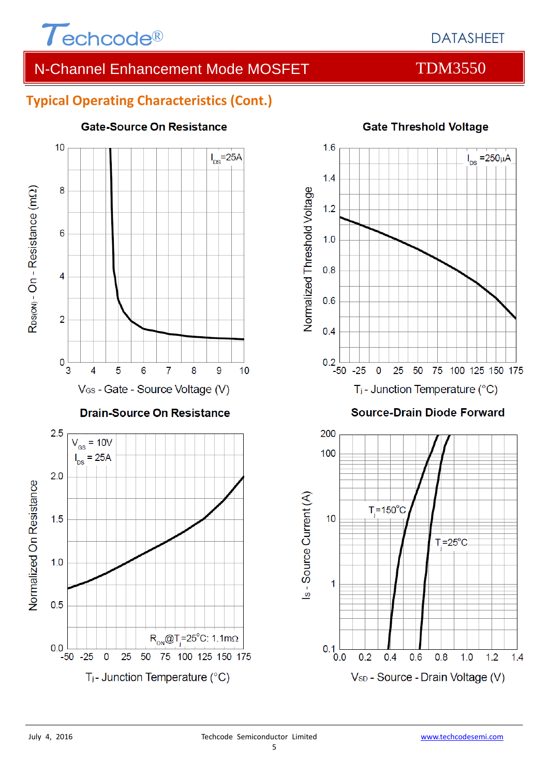

 $I_{DS}$  = 250µA

75 100 125 150 175

# N-Channel Enhancement Mode MOSFET TDM3550

### **Typical Operating Characteristics (Cont.)**



#### **Gate-Source On Resistance**

#### **Gate Threshold Voltage**

 $1.0$ 

 $1.2$ 

 $1.4$ 

 $T = 25^{\circ}$ C

 $0.8$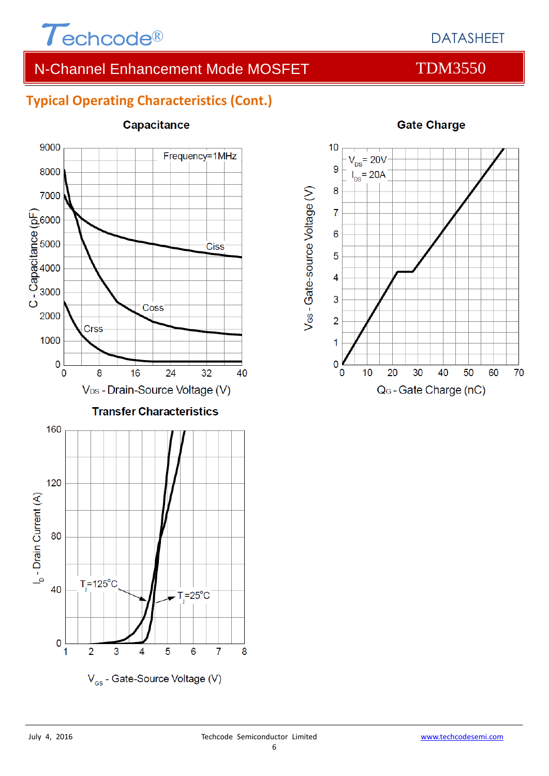

# DATASHEET

# N-Channel Enhancement Mode MOSFET TDM3550

### **Typical Operating Characteristics (Cont.)**



#### Capacitance



#### **Gate Charge**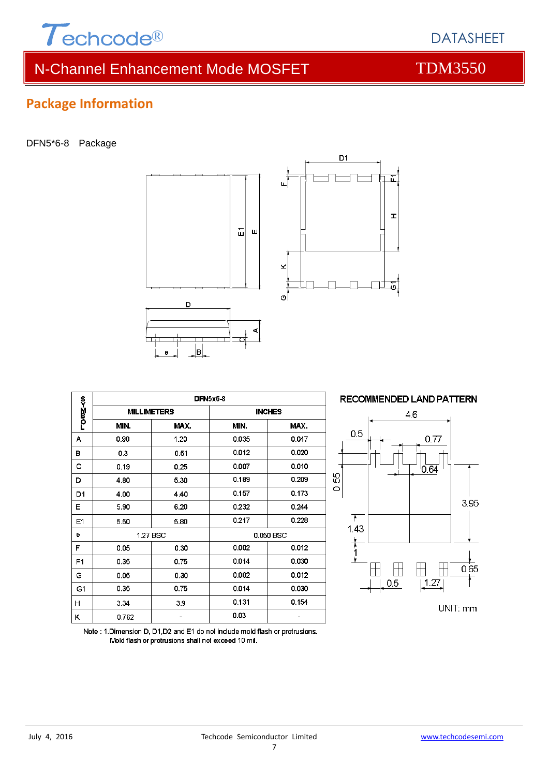

# N-Channel Enhancement Mode MOSFET TOM3550

### **Package Information**

#### DFN5\*6-8 Package



|                | <b>DFN5x6-8</b>    |          |               |       |  |  |
|----------------|--------------------|----------|---------------|-------|--|--|
| romM≺o         | <b>MILLIMETERS</b> |          | <b>INCHES</b> |       |  |  |
|                | MIN.               | MAX.     | MIN.          | MAX.  |  |  |
| А              | 0.90               | 1.20     | 0.035         | 0.047 |  |  |
| в              | 0.3                | 0.51     | 0.012         | 0.020 |  |  |
| с              | 0.19               | 0.25     | 0.007         | 0.010 |  |  |
| D              | 4.80               | 5.30     | 0.189         | 0.209 |  |  |
| D1             | 4.00               | 4.40     | 0.157         | 0.173 |  |  |
| Ε              | 5.90               | 6.20     | 0.232         | 0.244 |  |  |
| E1             | 5.50               | 5.80     | 0.217         | 0.228 |  |  |
| е              |                    | 1.27 BSC | 0.050 BSC     |       |  |  |
| F              | 0.05               | 0.30     | 0.002         | 0.012 |  |  |
| F <sub>1</sub> | 0.35               | 0.75     | 0.014         | 0.030 |  |  |
| G              | 0.05               | 0.30     | 0.002         | 0.012 |  |  |
| G1             | 0.35               | 0.75     | 0.014         | 0.030 |  |  |
| н              | 3.34               | 3.9      | 0.131         | 0.154 |  |  |
| Κ              | 0.762              |          | 0.03          |       |  |  |



됴

 $\mathbf{r}$ 

Note: 1. Dimension D, D1, D2 and E1 do not include mold flash or protrusions. Mold flash or protrusions shall not exceed 10 mil.